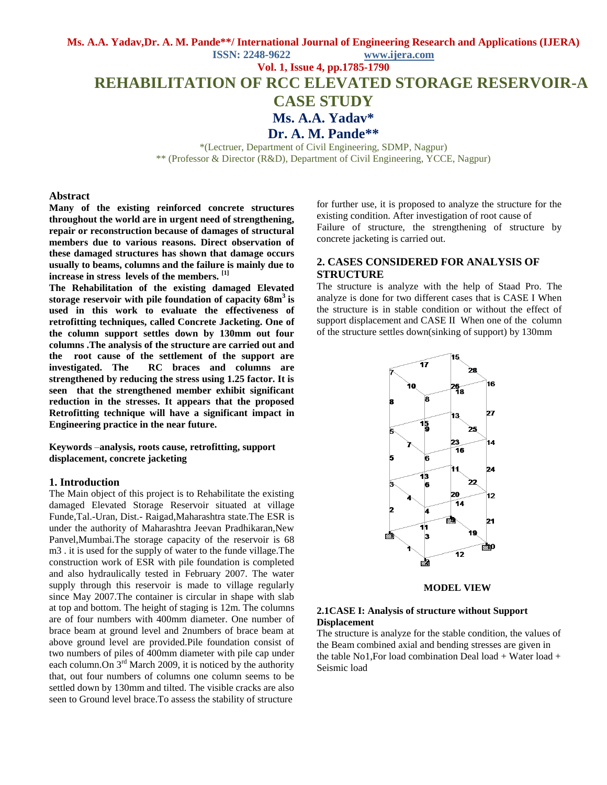#### **Ms. A.A. Yadav,Dr. A. M. Pande\*\*/ International Journal of Engineering Research and Applications (IJERA)**

**ISSN: 2248-9622 www.ijera.com Vol. 1, Issue 4, pp.1785-1790**

**REHABILITATION OF RCC ELEVATED STORAGE RESERVOIR-A** 

# **CASE STUDY**

**Ms. A.A. Yadav\***

**Dr. A. M. Pande\*\***

\*(Lectruer, Department of Civil Engineering, SDMP, Nagpur) \*\* (Professor & Director (R&D), Department of Civil Engineering, YCCE, Nagpur)

#### **Abstract**

**Many of the existing reinforced concrete structures throughout the world are in urgent need of strengthening, repair or reconstruction because of damages of structural members due to various reasons. Direct observation of these damaged structures has shown that damage occurs usually to beams, columns and the failure is mainly due to increase in stress levels of the members. [1]**

**The Rehabilitation of the existing damaged Elevated storage reservoir with pile foundation of capacity 68m<sup>3</sup>is used in this work to evaluate the effectiveness of retrofitting techniques, called Concrete Jacketing. One of the column support settles down by 130mm out four columns .The analysis of the structure are carried out and the root cause of the settlement of the support are investigated. The RC braces and columns are strengthened by reducing the stress using 1.25 factor. It is seen that the strengthened member exhibit significant reduction in the stresses. It appears that the proposed Retrofitting technique will have a significant impact in Engineering practice in the near future.**

**Keywords** –**analysis, roots cause, retrofitting, support displacement, concrete jacketing**

#### **1. Introduction**

The Main object of this project is to Rehabilitate the existing damaged Elevated Storage Reservoir situated at village Funde,Tal.-Uran, Dist.- Raigad,Maharashtra state.The ESR is under the authority of Maharashtra Jeevan Pradhikaran,New Panvel,Mumbai.The storage capacity of the reservoir is 68 m3 . it is used for the supply of water to the funde village.The construction work of ESR with pile foundation is completed and also hydraulically tested in February 2007. The water supply through this reservoir is made to village regularly since May 2007.The container is circular in shape with slab at top and bottom. The height of staging is 12m. The columns are of four numbers with 400mm diameter. One number of brace beam at ground level and 2numbers of brace beam at above ground level are provided.Pile foundation consist of two numbers of piles of 400mm diameter with pile cap under each column. On  $3<sup>rd</sup>$  March 2009, it is noticed by the authority that, out four numbers of columns one column seems to be settled down by 130mm and tilted. The visible cracks are also seen to Ground level brace.To assess the stability of structure

for further use, it is proposed to analyze the structure for the existing condition. After investigation of root cause of Failure of structure, the strengthening of structure by concrete jacketing is carried out.

#### **2. CASES CONSIDERED FOR ANALYSIS OF STRUCTURE**

The structure is analyze with the help of Staad Pro. The analyze is done for two different cases that is CASE I When the structure is in stable condition or without the effect of support displacement and CASE II When one of the column of the structure settles down(sinking of support) by 130mm



**MODEL VIEW**

#### **2.1CASE I: Analysis of structure without Support Displacement**

The structure is analyze for the stable condition, the values of the Beam combined axial and bending stresses are given in the table No1,For load combination Deal load + Water load + Seismic load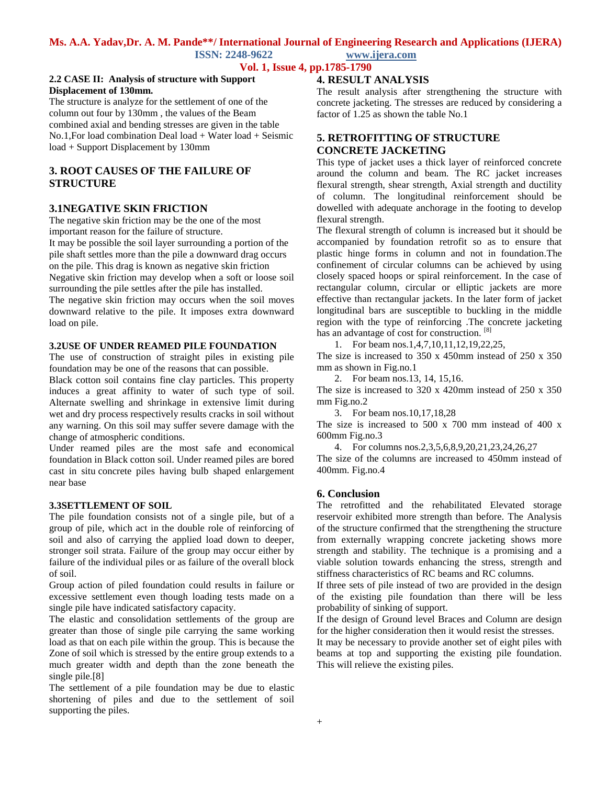# **Ms. A.A. Yadav,Dr. A. M. Pande\*\*/ International Journal of Engineering Research and Applications (IJERA)**

**ISSN: 2248-9622 www.ijera.com**

**Vol. 1, Issue 4, pp.1785-1790**

#### **2.2 CASE II: Analysis of structure with Support Displacement of 130mm.**

The structure is analyze for the settlement of one of the column out four by 130mm , the values of the Beam combined axial and bending stresses are given in the table No.1,For load combination Deal load + Water load + Seismic load + Support Displacement by 130mm

## **3. ROOT CAUSES OF THE FAILURE OF STRUCTURE**

## **3.1NEGATIVE SKIN FRICTION**

The negative skin friction may be the one of the most important reason for the failure of structure.

It may be possible the soil layer surrounding a portion of the pile shaft settles more than the pile a downward drag occurs on the pile. This drag is known as negative skin friction Negative skin friction may develop when a soft or loose soil surrounding the pile settles after the pile has installed.

The negative skin friction may occurs when the soil moves downward relative to the pile. It imposes extra downward load on pile.

#### **3.2USE OF UNDER REAMED PILE FOUNDATION**

The use of construction of straight piles in existing pile foundation may be one of the reasons that can possible.

Black cotton soil contains fine clay particles. This property induces a great affinity to water of such type of soil. Alternate swelling and shrinkage in extensive limit during wet and dry process respectively results cracks in soil without any warning. On this soil may suffer severe damage with the change of atmospheric conditions.

Under reamed piles are the most safe and economical foundation in Black cotton soil. Under reamed piles are bored cast in situ concrete piles having bulb shaped enlargement near base

#### **3.3SETTLEMENT OF SOIL**

The pile foundation consists not of a single pile, but of a group of pile, which act in the double role of reinforcing of soil and also of carrying the applied load down to deeper, stronger soil strata. Failure of the group may occur either by failure of the individual piles or as failure of the overall block of soil.

Group action of piled foundation could results in failure or excessive settlement even though loading tests made on a single pile have indicated satisfactory capacity.

The elastic and consolidation settlements of the group are greater than those of single pile carrying the same working load as that on each pile within the group. This is because the Zone of soil which is stressed by the entire group extends to a much greater width and depth than the zone beneath the single pile.[8]

The settlement of a pile foundation may be due to elastic shortening of piles and due to the settlement of soil supporting the piles.

## **4. RESULT ANALYSIS**

The result analysis after strengthening the structure with concrete jacketing. The stresses are reduced by considering a factor of 1.25 as shown the table No.1

# **5. RETROFITTING OF STRUCTURE CONCRETE JACKETING**

This type of jacket uses a thick layer of reinforced concrete around the column and beam. The RC jacket increases flexural strength, shear strength, Axial strength and ductility of column. The longitudinal reinforcement should be dowelled with adequate anchorage in the footing to develop flexural strength.

The flexural strength of column is increased but it should be accompanied by foundation retrofit so as to ensure that plastic hinge forms in column and not in foundation.The confinement of circular columns can be achieved by using closely spaced hoops or spiral reinforcement. In the case of rectangular column, circular or elliptic jackets are more effective than rectangular jackets. In the later form of jacket longitudinal bars are susceptible to buckling in the middle region with the type of reinforcing .The concrete jacketing has an advantage of cost for construction. [8]

1. For beam nos.1,4,7,10,11,12,19,22,25,

The size is increased to 350 x 450mm instead of 250 x 350 mm as shown in Fig.no.1

2. For beam nos.13, 14, 15,16.

The size is increased to 320 x 420mm instead of 250 x 350 mm Fig.no.2

3. For beam nos.10,17,18,28

The size is increased to 500 x 700 mm instead of 400 x 600mm Fig.no.3

4. For columns nos.2,3,5,6,8,9,20,21,23,24,26,27

The size of the columns are increased to 450mm instead of 400mm. Fig.no.4

#### **6. Conclusion**

The retrofitted and the rehabilitated Elevated storage reservoir exhibited more strength than before. The Analysis of the structure confirmed that the strengthening the structure from externally wrapping concrete jacketing shows more strength and stability. The technique is a promising and a viable solution towards enhancing the stress, strength and stiffness characteristics of RC beams and RC columns.

If three sets of pile instead of two are provided in the design of the existing pile foundation than there will be less probability of sinking of support.

If the design of Ground level Braces and Column are design for the higher consideration then it would resist the stresses.

It may be necessary to provide another set of eight piles with beams at top and supporting the existing pile foundation. This will relieve the existing piles.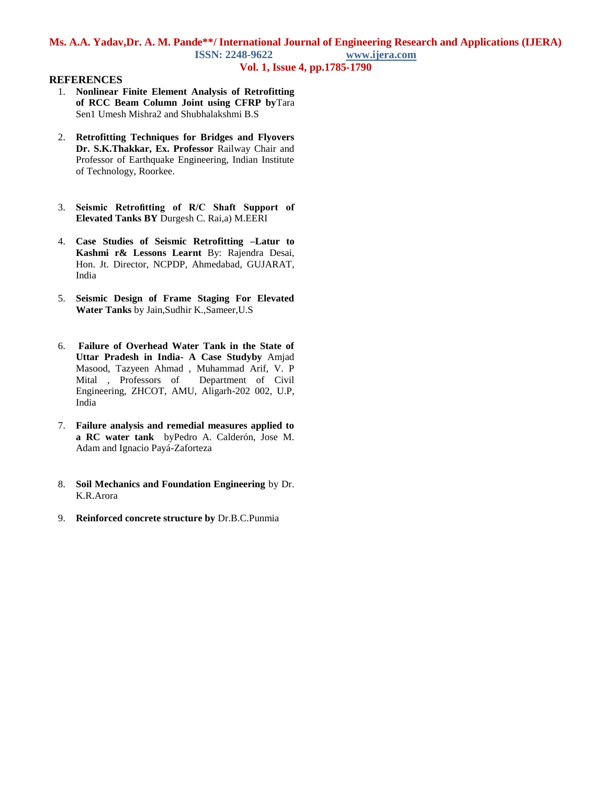# **Ms. A.A. Yadav,Dr. A. M. Pande\*\*/ International Journal of Engineering Research and Applications (IJERA) ISSN: 2248-9622 www.ijera.com**

## **Vol. 1, Issue 4, pp.1785-1790**

### **REFERENCES**

- 1. **Nonlinear Finite Element Analysis of Retrofitting of RCC Beam Column Joint using CFRP by**Tara Sen1 Umesh Mishra2 and Shubhalakshmi B.S
- 2. **Retrofitting Techniques for Bridges and Flyovers Dr. S.K.Thakkar, Ex. Professor** Railway Chair and Professor of Earthquake Engineering, Indian Institute of Technology, Roorkee.
- 3. **Seismic Retrofitting of R/C Shaft Support of Elevated Tanks BY** Durgesh C. Rai,a) M.EERI
- 4. **Case Studies of Seismic Retrofitting –Latur to Kashmi r& Lessons Learnt** By: Rajendra Desai, Hon. Jt. Director, NCPDP, Ahmedabad, GUJARAT, India
- 5. **Seismic Design of Frame Staging For Elevated Water Tanks** by Jain,Sudhir K.,Sameer,U.S
- 6. **Failure of Overhead Water Tank in the State of Uttar Pradesh in India- A Case Studyby** Amjad Masood, Tazyeen Ahmad , Muhammad Arif, V. P Mital , Professors of Department of Civil Engineering, ZHCOT, AMU, Aligarh-202 002, U.P, India
- 7. **Failure analysis and remedial measures applied to a RC water tank** byPedro A. Calderón, Jose M. Adam and Ignacio Payá-Zaforteza
- 8. **Soil Mechanics and Foundation Engineering** by Dr. K.R.Arora
- 9. **Reinforced concrete structure by** Dr.B.C.Punmia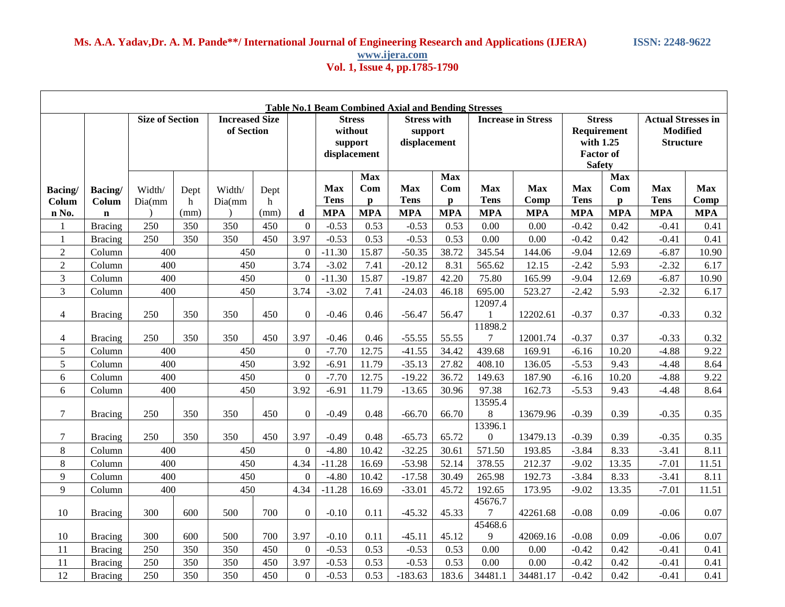## **Ms. A.A. Yadav,Dr. A. M. Pande\*\*/ International Journal of Engineering Research and Applications (IJERA) ISSN: 2248-9622 www.ijera.com Vol. 1, Issue 4, pp.1785-1790**

| <b>Table No.1 Beam Combined Axial and Bending Stresses</b> |                                 |                        |                   |                                     |                   |                  |                                                     |                                                 |                                               |                                                 |                                         |                                  |                                                                                |                                                 |                                                                  |                                  |
|------------------------------------------------------------|---------------------------------|------------------------|-------------------|-------------------------------------|-------------------|------------------|-----------------------------------------------------|-------------------------------------------------|-----------------------------------------------|-------------------------------------------------|-----------------------------------------|----------------------------------|--------------------------------------------------------------------------------|-------------------------------------------------|------------------------------------------------------------------|----------------------------------|
|                                                            |                                 | <b>Size of Section</b> |                   | <b>Increased Size</b><br>of Section |                   |                  | <b>Stress</b><br>without<br>support<br>displacement |                                                 | <b>Stress with</b><br>support<br>displacement |                                                 | <b>Increase in Stress</b>               |                                  | <b>Stress</b><br>Requirement<br>with 1.25<br><b>Factor</b> of<br><b>Safety</b> |                                                 | <b>Actual Stresses in</b><br><b>Modified</b><br><b>Structure</b> |                                  |
| Bacing/<br>Colum<br>n No.                                  | Bacing/<br>Colum<br>$\mathbf n$ | Width/<br>Dia(mm       | Dept<br>h<br>(mm) | Width/<br>Dia(mm)                   | Dept<br>h<br>(mm) | d                | <b>Max</b><br><b>Tens</b><br><b>MPA</b>             | <b>Max</b><br>Com<br>$\mathbf{p}$<br><b>MPA</b> | <b>Max</b><br><b>Tens</b><br><b>MPA</b>       | <b>Max</b><br>Com<br>$\mathbf{p}$<br><b>MPA</b> | <b>Max</b><br><b>Tens</b><br><b>MPA</b> | <b>Max</b><br>Comp<br><b>MPA</b> | <b>Max</b><br><b>Tens</b><br><b>MPA</b>                                        | <b>Max</b><br>Com<br>$\mathbf{p}$<br><b>MPA</b> | Max<br><b>Tens</b><br><b>MPA</b>                                 | <b>Max</b><br>Comp<br><b>MPA</b> |
| 1                                                          | <b>Bracing</b>                  | 250                    | 350               | 350                                 | 450               | $\overline{0}$   | $-0.53$                                             | 0.53                                            | $-0.53$                                       | 0.53                                            | 0.00                                    | 0.00                             | $-0.42$                                                                        | 0.42                                            | $-0.41$                                                          | 0.41                             |
| 1                                                          | <b>Bracing</b>                  | 250                    | 350               | 350                                 | 450               | 3.97             | $-0.53$                                             | 0.53                                            | $-0.53$                                       | 0.53                                            | 0.00                                    | 0.00                             | $-0.42$                                                                        | 0.42                                            | $-0.41$                                                          | 0.41                             |
| $\boldsymbol{2}$                                           | Column                          | 400                    |                   | 450                                 |                   | $\overline{0}$   | $-11.30$                                            | 15.87                                           | $-50.35$                                      | 38.72                                           | 345.54                                  | 144.06                           | $-9.04$                                                                        | 12.69                                           | $-6.87$                                                          | 10.90                            |
| $\boldsymbol{2}$                                           | Column                          | 400                    |                   | 450                                 |                   | 3.74             | $-3.02$                                             | 7.41                                            | $-20.12$                                      | 8.31                                            | 565.62                                  | 12.15                            | $-2.42$                                                                        | 5.93                                            | $-2.32$                                                          | 6.17                             |
| 3                                                          | Column                          | 400                    |                   | 450                                 |                   | $\overline{0}$   | $-11.30$                                            | 15.87                                           | $-19.87$                                      | 42.20                                           | 75.80                                   | 165.99                           | $-9.04$                                                                        | 12.69                                           | $-6.87$                                                          | 10.90                            |
| 3                                                          | Column                          | 400                    |                   | 450                                 |                   | 3.74             | $-3.02$                                             | 7.41                                            | $-24.03$                                      | 46.18                                           | 695.00                                  | 523.27                           | $-2.42$                                                                        | 5.93                                            | $-2.32$                                                          | 6.17                             |
| $\overline{4}$                                             | <b>Bracing</b>                  | 250                    | 350               | 350                                 | 450               | $\boldsymbol{0}$ | $-0.46$                                             | 0.46                                            | $-56.47$                                      | 56.47                                           | 12097.4                                 | 12202.61                         | $-0.37$                                                                        | 0.37                                            | $-0.33$                                                          | 0.32                             |
| $\overline{4}$                                             | <b>Bracing</b>                  | 250                    | 350               | 350                                 | 450               | 3.97             | $-0.46$                                             | 0.46                                            | $-55.55$                                      | 55.55                                           | 11898.2<br>7                            | 12001.74                         | $-0.37$                                                                        | 0.37                                            | $-0.33$                                                          | 0.32                             |
| 5                                                          | Column                          | 400                    |                   | 450                                 |                   | $\Omega$         | $-7.70$                                             | 12.75                                           | $-41.55$                                      | 34.42                                           | 439.68                                  | 169.91                           | $-6.16$                                                                        | 10.20                                           | $-4.88$                                                          | 9.22                             |
| 5                                                          | Column                          | 400                    |                   | 450                                 |                   | 3.92             | $-6.91$                                             | 11.79                                           | $-35.13$                                      | 27.82                                           | 408.10                                  | 136.05                           | $-5.53$                                                                        | 9.43                                            | $-4.48$                                                          | 8.64                             |
| 6                                                          | Column                          | 400                    |                   | 450                                 |                   | $\overline{0}$   | $-7.70$                                             | 12.75                                           | $-19.22$                                      | 36.72                                           | 149.63                                  | 187.90                           | $-6.16$                                                                        | 10.20                                           | $-4.88$                                                          | 9.22                             |
| 6                                                          | Column                          | 400                    |                   | 450                                 |                   | 3.92             | $-6.91$                                             | 11.79                                           | $-13.65$                                      | 30.96                                           | 97.38                                   | 162.73                           | $-5.53$                                                                        | 9.43                                            | $-4.48$                                                          | 8.64                             |
| $\tau$                                                     | <b>Bracing</b>                  | 250                    | 350               | 350                                 | 450               | $\overline{0}$   | $-0.49$                                             | 0.48                                            | $-66.70$                                      | 66.70                                           | 13595.4<br>8                            | 13679.96                         | $-0.39$                                                                        | 0.39                                            | $-0.35$                                                          | 0.35                             |
| 7                                                          | <b>Bracing</b>                  | 250                    | 350               | 350                                 | 450               | 3.97             | $-0.49$                                             | 0.48                                            | $-65.73$                                      | 65.72                                           | 13396.1<br>$\overline{0}$               | 13479.13                         | $-0.39$                                                                        | 0.39                                            | $-0.35$                                                          | 0.35                             |
| $8\,$                                                      | Column                          | 400                    |                   | 450                                 |                   | $\overline{0}$   | $-4.80$                                             | 10.42                                           | $-32.25$                                      | 30.61                                           | 571.50                                  | 193.85                           | $-3.84$                                                                        | 8.33                                            | $-3.41$                                                          | 8.11                             |
| 8                                                          | Column                          | 400                    |                   | 450                                 |                   | 4.34             | $-11.28$                                            | 16.69                                           | $-53.98$                                      | 52.14                                           | 378.55                                  | 212.37                           | $-9.02$                                                                        | 13.35                                           | $-7.01$                                                          | 11.51                            |
| 9                                                          | Column                          | 400                    |                   | 450                                 |                   | $\Omega$         | $-4.80$                                             | 10.42                                           | $-17.58$                                      | 30.49                                           | 265.98                                  | 192.73                           | $-3.84$                                                                        | 8.33                                            | $-3.41$                                                          | 8.11                             |
| 9                                                          | Column                          | 400                    |                   | 450                                 |                   | 4.34             | $-11.28$                                            | 16.69                                           | $-33.01$                                      | 45.72                                           | 192.65                                  | 173.95                           | $-9.02$                                                                        | 13.35                                           | $-7.01$                                                          | 11.51                            |
| 10                                                         | <b>Bracing</b>                  | 300                    | 600               | 500                                 | 700               | $\overline{0}$   | $-0.10$                                             | 0.11                                            | $-45.32$                                      | 45.33                                           | 45676.7<br>7                            | 42261.68                         | $-0.08$                                                                        | 0.09                                            | $-0.06$                                                          | 0.07                             |
| 10                                                         | <b>Bracing</b>                  | 300                    | 600               | 500                                 | 700               | 3.97             | $-0.10$                                             | 0.11                                            | $-45.11$                                      | 45.12                                           | 45468.6<br>9                            | 42069.16                         | $-0.08$                                                                        | 0.09                                            | $-0.06$                                                          | 0.07                             |
| 11                                                         | <b>Bracing</b>                  | 250                    | 350               | 350                                 | 450               | $\overline{0}$   | $-0.53$                                             | 0.53                                            | $-0.53$                                       | 0.53                                            | 0.00                                    | 0.00                             | $-0.42$                                                                        | 0.42                                            | $-0.41$                                                          | 0.41                             |
| 11                                                         | Bracing                         | 250                    | 350               | 350                                 | 450               | 3.97             | $-0.53$                                             | 0.53                                            | $-0.53$                                       | 0.53                                            | 0.00                                    | 0.00                             | $-0.42$                                                                        | 0.42                                            | $-0.41$                                                          | 0.41                             |
| 12                                                         | <b>Bracing</b>                  | 250                    | 350               | 350                                 | 450               | $\overline{0}$   | $-0.53$                                             | 0.53                                            | $-183.63$                                     | 183.6                                           | 34481.1                                 | 34481.17                         | $-0.42$                                                                        | 0.42                                            | $-0.41$                                                          | 0.41                             |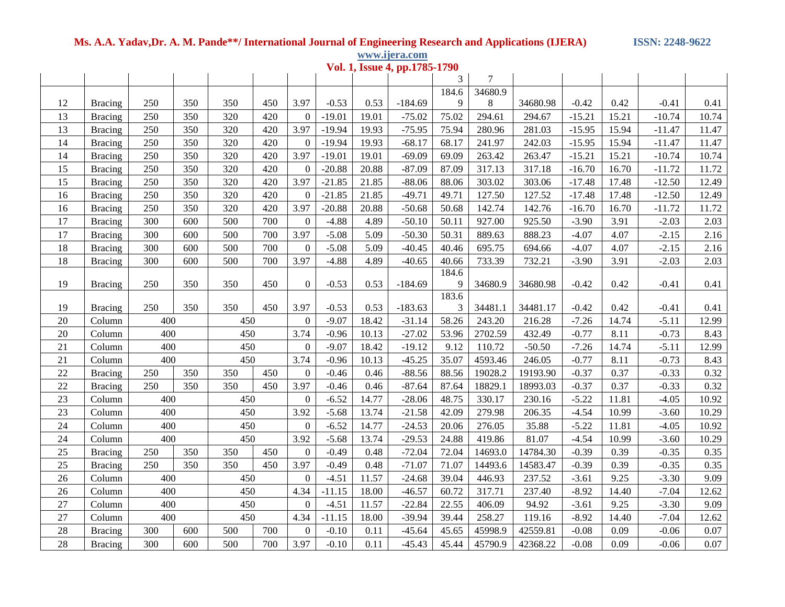# **Ms. A.A. Yadav,Dr. A. M. Pande\*\*/ International Journal of Engineering Research and Applications (IJERA) ISSN: 2248-9622**

**www.ijera.com**

| Vol. 1, Issue 4, pp.1785-1790 |                |     |     |     |     |                  |          |       |           |       |         |          |          |       |          |       |
|-------------------------------|----------------|-----|-----|-----|-----|------------------|----------|-------|-----------|-------|---------|----------|----------|-------|----------|-------|
|                               |                |     |     |     |     |                  |          |       |           | 3     | 7       |          |          |       |          |       |
|                               |                |     |     |     |     |                  |          |       |           | 184.6 | 34680.9 |          |          |       |          |       |
| 12                            | <b>Bracing</b> | 250 | 350 | 350 | 450 | 3.97             | $-0.53$  | 0.53  | $-184.69$ | 9     | 8       | 34680.98 | $-0.42$  | 0.42  | $-0.41$  | 0.41  |
| 13                            | <b>Bracing</b> | 250 | 350 | 320 | 420 | $\Omega$         | $-19.01$ | 19.01 | $-75.02$  | 75.02 | 294.61  | 294.67   | $-15.21$ | 15.21 | $-10.74$ | 10.74 |
| 13                            | <b>Bracing</b> | 250 | 350 | 320 | 420 | 3.97             | $-19.94$ | 19.93 | $-75.95$  | 75.94 | 280.96  | 281.03   | $-15.95$ | 15.94 | $-11.47$ | 11.47 |
| 14                            | <b>Bracing</b> | 250 | 350 | 320 | 420 | $\overline{0}$   | $-19.94$ | 19.93 | $-68.17$  | 68.17 | 241.97  | 242.03   | $-15.95$ | 15.94 | $-11.47$ | 11.47 |
| 14                            | <b>Bracing</b> | 250 | 350 | 320 | 420 | 3.97             | $-19.01$ | 19.01 | $-69.09$  | 69.09 | 263.42  | 263.47   | $-15.21$ | 15.21 | $-10.74$ | 10.74 |
| 15                            | <b>Bracing</b> | 250 | 350 | 320 | 420 | $\overline{0}$   | $-20.88$ | 20.88 | $-87.09$  | 87.09 | 317.13  | 317.18   | $-16.70$ | 16.70 | $-11.72$ | 11.72 |
| 15                            | <b>Bracing</b> | 250 | 350 | 320 | 420 | 3.97             | $-21.85$ | 21.85 | $-88.06$  | 88.06 | 303.02  | 303.06   | $-17.48$ | 17.48 | $-12.50$ | 12.49 |
| 16                            | <b>Bracing</b> | 250 | 350 | 320 | 420 | $\Omega$         | $-21.85$ | 21.85 | $-49.71$  | 49.71 | 127.50  | 127.52   | $-17.48$ | 17.48 | $-12.50$ | 12.49 |
| 16                            | <b>Bracing</b> | 250 | 350 | 320 | 420 | 3.97             | $-20.88$ | 20.88 | $-50.68$  | 50.68 | 142.74  | 142.76   | $-16.70$ | 16.70 | $-11.72$ | 11.72 |
| 17                            | <b>Bracing</b> | 300 | 600 | 500 | 700 | $\overline{0}$   | $-4.88$  | 4.89  | $-50.10$  | 50.11 | 927.00  | 925.50   | $-3.90$  | 3.91  | $-2.03$  | 2.03  |
| 17                            | <b>Bracing</b> | 300 | 600 | 500 | 700 | 3.97             | $-5.08$  | 5.09  | $-50.30$  | 50.31 | 889.63  | 888.23   | $-4.07$  | 4.07  | $-2.15$  | 2.16  |
| 18                            | <b>Bracing</b> | 300 | 600 | 500 | 700 | $\overline{0}$   | $-5.08$  | 5.09  | $-40.45$  | 40.46 | 695.75  | 694.66   | $-4.07$  | 4.07  | $-2.15$  | 2.16  |
| 18                            | <b>Bracing</b> | 300 | 600 | 500 | 700 | 3.97             | $-4.88$  | 4.89  | $-40.65$  | 40.66 | 733.39  | 732.21   | $-3.90$  | 3.91  | $-2.03$  | 2.03  |
|                               |                |     |     |     |     |                  |          |       |           | 184.6 |         |          |          |       |          |       |
| 19                            | <b>Bracing</b> | 250 | 350 | 350 | 450 | $\overline{0}$   | $-0.53$  | 0.53  | $-184.69$ | 9     | 34680.9 | 34680.98 | $-0.42$  | 0.42  | $-0.41$  | 0.41  |
|                               |                |     |     |     |     |                  |          |       |           | 183.6 |         |          |          |       |          |       |
| 19                            | <b>Bracing</b> | 250 | 350 | 350 | 450 | 3.97             | $-0.53$  | 0.53  | $-183.63$ | 3     | 34481.1 | 34481.17 | $-0.42$  | 0.42  | $-0.41$  | 0.41  |
| 20                            | Column         | 400 |     | 450 |     | $\boldsymbol{0}$ | $-9.07$  | 18.42 | $-31.14$  | 58.26 | 243.20  | 216.28   | $-7.26$  | 14.74 | $-5.11$  | 12.99 |
| 20                            | Column         | 400 |     | 450 |     | 3.74             | $-0.96$  | 10.13 | $-27.02$  | 53.96 | 2702.59 | 432.49   | $-0.77$  | 8.11  | $-0.73$  | 8.43  |
| 21                            | Column         | 400 |     | 450 |     | $\overline{0}$   | $-9.07$  | 18.42 | $-19.12$  | 9.12  | 110.72  | $-50.50$ | $-7.26$  | 14.74 | $-5.11$  | 12.99 |
| 21                            | Column         | 400 |     | 450 |     | 3.74             | $-0.96$  | 10.13 | $-45.25$  | 35.07 | 4593.46 | 246.05   | $-0.77$  | 8.11  | $-0.73$  | 8.43  |
| $22\,$                        | <b>Bracing</b> | 250 | 350 | 350 | 450 | $\Omega$         | $-0.46$  | 0.46  | $-88.56$  | 88.56 | 19028.2 | 19193.90 | $-0.37$  | 0.37  | $-0.33$  | 0.32  |
| $22\,$                        | <b>Bracing</b> | 250 | 350 | 350 | 450 | 3.97             | $-0.46$  | 0.46  | $-87.64$  | 87.64 | 18829.1 | 18993.03 | $-0.37$  | 0.37  | $-0.33$  | 0.32  |
| 23                            | Column         | 400 |     | 450 |     | $\overline{0}$   | $-6.52$  | 14.77 | $-28.06$  | 48.75 | 330.17  | 230.16   | $-5.22$  | 11.81 | $-4.05$  | 10.92 |
| 23                            | Column         | 400 |     | 450 |     | 3.92             | $-5.68$  | 13.74 | $-21.58$  | 42.09 | 279.98  | 206.35   | $-4.54$  | 10.99 | $-3.60$  | 10.29 |
| 24                            | Column         | 400 |     | 450 |     | $\overline{0}$   | $-6.52$  | 14.77 | $-24.53$  | 20.06 | 276.05  | 35.88    | $-5.22$  | 11.81 | $-4.05$  | 10.92 |
| 24                            | Column         | 400 |     | 450 |     | 3.92             | $-5.68$  | 13.74 | $-29.53$  | 24.88 | 419.86  | 81.07    | $-4.54$  | 10.99 | $-3.60$  | 10.29 |
| 25                            | <b>Bracing</b> | 250 | 350 | 350 | 450 | $\Omega$         | $-0.49$  | 0.48  | $-72.04$  | 72.04 | 14693.0 | 14784.30 | $-0.39$  | 0.39  | $-0.35$  | 0.35  |
| 25                            | <b>Bracing</b> | 250 | 350 | 350 | 450 | 3.97             | $-0.49$  | 0.48  | $-71.07$  | 71.07 | 14493.6 | 14583.47 | $-0.39$  | 0.39  | $-0.35$  | 0.35  |
| 26                            | Column         | 400 |     | 450 |     | $\overline{0}$   | $-4.51$  | 11.57 | $-24.68$  | 39.04 | 446.93  | 237.52   | $-3.61$  | 9.25  | $-3.30$  | 9.09  |
| 26                            | Column         | 400 |     | 450 |     | 4.34             | $-11.15$ | 18.00 | $-46.57$  | 60.72 | 317.71  | 237.40   | $-8.92$  | 14.40 | $-7.04$  | 12.62 |
| 27                            | Column         | 400 |     | 450 |     | $\mathbf{0}$     | $-4.51$  | 11.57 | $-22.84$  | 22.55 | 406.09  | 94.92    | $-3.61$  | 9.25  | $-3.30$  | 9.09  |
| 27                            | Column         | 400 |     | 450 |     | 4.34             | $-11.15$ | 18.00 | $-39.94$  | 39.44 | 258.27  | 119.16   | $-8.92$  | 14.40 | $-7.04$  | 12.62 |
| 28                            | <b>Bracing</b> | 300 | 600 | 500 | 700 | $\overline{0}$   | $-0.10$  | 0.11  | $-45.64$  | 45.65 | 45998.9 | 42559.81 | $-0.08$  | 0.09  | $-0.06$  | 0.07  |
| 28                            | <b>Bracing</b> | 300 | 600 | 500 | 700 | 3.97             | $-0.10$  | 0.11  | $-45.43$  | 45.44 | 45790.9 | 42368.22 | $-0.08$  | 0.09  | $-0.06$  | 0.07  |